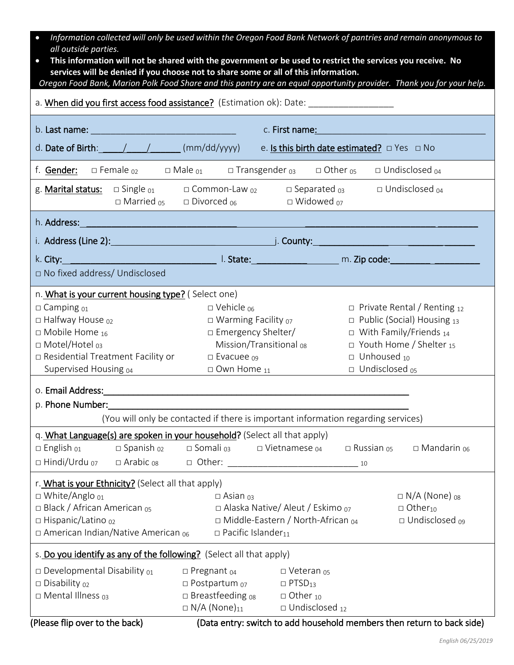| Information collected will only be used within the Oregon Food Bank Network of pantries and remain anonymous to<br>$\bullet$<br>all outside parties.                                                        |                                                                                   |                                                                                                                |                                   |                                                                        |
|-------------------------------------------------------------------------------------------------------------------------------------------------------------------------------------------------------------|-----------------------------------------------------------------------------------|----------------------------------------------------------------------------------------------------------------|-----------------------------------|------------------------------------------------------------------------|
| This information will not be shared with the government or be used to restrict the services you receive. No                                                                                                 |                                                                                   |                                                                                                                |                                   |                                                                        |
| services will be denied if you choose not to share some or all of this information.<br>Oregon Food Bank, Marion Polk Food Share and this pantry are an equal opportunity provider. Thank you for your help. |                                                                                   |                                                                                                                |                                   |                                                                        |
|                                                                                                                                                                                                             |                                                                                   |                                                                                                                |                                   |                                                                        |
|                                                                                                                                                                                                             |                                                                                   |                                                                                                                |                                   |                                                                        |
|                                                                                                                                                                                                             |                                                                                   | c. First name: The Contract of the Contract of the Contract of the Contract of the Contract of the Contract of |                                   |                                                                        |
| d. Date of Birth: $\qquad$ / $\qquad$ / $\qquad$ (mm/dd/yyyy)                                                                                                                                               |                                                                                   | e. Is this birth date estimated? $\Box$ Yes $\Box$ No                                                          |                                   |                                                                        |
| f. Gender: $\Box$ Female $_{02}$ $\Box$ Male $_{01}$ $\Box$ Transgender $_{03}$ $\Box$ Other $_{05}$ $\Box$ Undisclosed $_{04}$                                                                             |                                                                                   |                                                                                                                |                                   |                                                                        |
| g. <b>Marital status:</b> $\Box$ Single $_{01}$ $\Box$ Common-Law $_{02}$ $\Box$ Separated $_{03}$                                                                                                          | $\Box$ Married <sub>05</sub> $\Box$ Divorced <sub>06</sub>                        | $\Box$ Widowed $_{07}$                                                                                         |                                   | $\Box$ Undisclosed $_{04}$                                             |
|                                                                                                                                                                                                             |                                                                                   |                                                                                                                |                                   |                                                                        |
| i. Address (Line 2): 1. 2012 1. 2014 1. 2014 1. 2014 1. 2014 1. 2014 1. 2014 1. 2014 1. 2014 1. 2014 1. 2014 1                                                                                              |                                                                                   |                                                                                                                |                                   |                                                                        |
| k. City: 1. State: 1. March 2010 1. State: 1. March 2010 1. State: 1. March 2010 1. March 2010 1. March 2010 1                                                                                              |                                                                                   |                                                                                                                |                                   |                                                                        |
| □ No fixed address/ Undisclosed                                                                                                                                                                             |                                                                                   |                                                                                                                |                                   |                                                                        |
| n. What is your current housing type? (Select one)                                                                                                                                                          |                                                                                   |                                                                                                                |                                   |                                                                        |
| $\square$ Camping $_{01}$                                                                                                                                                                                   | $\Box$ Vehicle <sub>06</sub>                                                      |                                                                                                                |                                   | $\Box$ Private Rental / Renting 12                                     |
| $\square$ Halfway House $_{02}$                                                                                                                                                                             | $\square$ Warming Facility $_{07}$                                                |                                                                                                                | $\Box$ Public (Social) Housing 13 |                                                                        |
| $\square$ Mobile Home <sub>16</sub>                                                                                                                                                                         | □ Emergency Shelter/<br>$\Box$ With Family/Friends 14                             |                                                                                                                |                                   |                                                                        |
| □ Motel/Hotel <sub>03</sub>                                                                                                                                                                                 | Mission/Transitional <sub>08</sub>                                                |                                                                                                                |                                   | $\Box$ Youth Home / Shelter 15                                         |
| □ Residential Treatment Facility or                                                                                                                                                                         | $\square$ Evacuee $_{09}$                                                         |                                                                                                                | $\Box$ Unhoused 10                |                                                                        |
| Supervised Housing 04                                                                                                                                                                                       | $\Box$ Own Home $_{11}$                                                           |                                                                                                                | $\Box$ Undisclosed $_{05}$        |                                                                        |
| o. Email Address:                                                                                                                                                                                           |                                                                                   |                                                                                                                |                                   |                                                                        |
| p. Phone Number:                                                                                                                                                                                            |                                                                                   |                                                                                                                |                                   |                                                                        |
|                                                                                                                                                                                                             | (You will only be contacted if there is important information regarding services) |                                                                                                                |                                   |                                                                        |
| q. What Language(s) are spoken in your household? (Select all that apply)                                                                                                                                   |                                                                                   |                                                                                                                |                                   |                                                                        |
| $\Box$ English $_{01}$<br>$\square$ Spanish $_{02}$                                                                                                                                                         | $\square$ Somali $_{03}$                                                          | $\Box$ Vietnamese $_{04}$                                                                                      | $\Box$ Russian $_{05}$            | $\square$ Mandarin $_{06}$                                             |
| $\Box$ Hindi/Urdu $_{07}$<br>$\Box$ Arabic <sub>08</sub>                                                                                                                                                    | □ Other:                                                                          |                                                                                                                | $-10$                             |                                                                        |
| r. What is your Ethnicity? (Select all that apply)                                                                                                                                                          |                                                                                   |                                                                                                                |                                   |                                                                        |
| $\Box$ White/Anglo $_{01}$                                                                                                                                                                                  | $\square$ Asian $_{03}$                                                           |                                                                                                                |                                   | $\Box$ N/A (None) $_{08}$                                              |
| □ Black / African American <sub>05</sub>                                                                                                                                                                    |                                                                                   | $\Box$ Alaska Native/ Aleut / Eskimo $_{07}$                                                                   |                                   | $\Box$ Other <sub>10</sub>                                             |
| □ Hispanic/Latino <sub>02</sub>                                                                                                                                                                             |                                                                                   | $\Box$ Middle-Eastern / North-African $_{04}$                                                                  |                                   | □ Undisclosed <sub>09</sub>                                            |
| $\Box$ American Indian/Native American $_{06}$                                                                                                                                                              | $\square$ Pacific Islander <sub>11</sub>                                          |                                                                                                                |                                   |                                                                        |
| s. Do you identify as any of the following? (Select all that apply)                                                                                                                                         |                                                                                   |                                                                                                                |                                   |                                                                        |
| $\square$ Developmental Disability $_{01}$                                                                                                                                                                  | $\square$ Pregnant $_{04}$                                                        | $\Box$ Veteran $_{05}$                                                                                         |                                   |                                                                        |
| $\square$ Disability $_{02}$                                                                                                                                                                                | $\square$ Postpartum $_{07}$                                                      | $\Box$ PTSD <sub>13</sub>                                                                                      |                                   |                                                                        |
| $\Box$ Mental Illness $_{03}$                                                                                                                                                                               | $\Box$ Breastfeeding $_{08}$                                                      | $\Box$ Other $_{10}$                                                                                           |                                   |                                                                        |
|                                                                                                                                                                                                             | $\Box$ N/A (None) <sub>11</sub>                                                   | $\Box$ Undisclosed $_{12}$                                                                                     |                                   |                                                                        |
| (Please flip over to the back)                                                                                                                                                                              |                                                                                   |                                                                                                                |                                   | (Data entry: switch to add household members then return to back side) |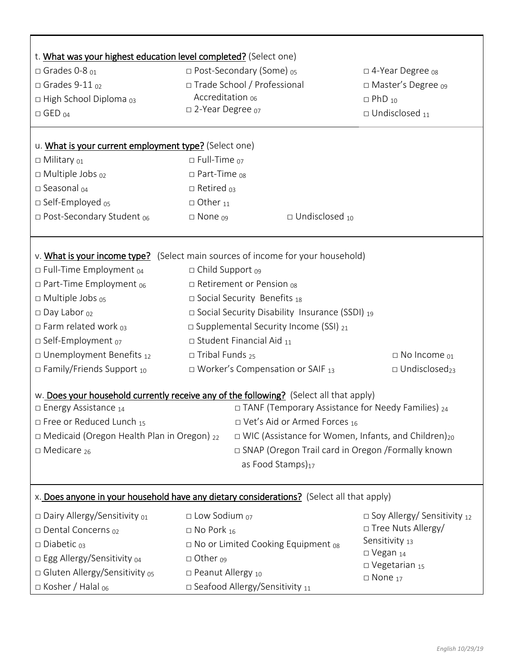| t. What was your highest education level completed? (Select one)                                                                                                                                                                                                                                                                                                        |                                                                      |                                                                                                                                                                                                                                                                                    |                                                                        |  |  |
|-------------------------------------------------------------------------------------------------------------------------------------------------------------------------------------------------------------------------------------------------------------------------------------------------------------------------------------------------------------------------|----------------------------------------------------------------------|------------------------------------------------------------------------------------------------------------------------------------------------------------------------------------------------------------------------------------------------------------------------------------|------------------------------------------------------------------------|--|--|
| $\Box$ Grades 0-8 $_{01}$                                                                                                                                                                                                                                                                                                                                               | □ Post-Secondary (Some) <sub>05</sub>                                |                                                                                                                                                                                                                                                                                    | $\Box$ 4-Year Degree $_{08}$                                           |  |  |
| $\Box$ Grades 9-11 $_{02}$                                                                                                                                                                                                                                                                                                                                              | □ Trade School / Professional                                        |                                                                                                                                                                                                                                                                                    | □ Master's Degree 09                                                   |  |  |
| $\Box$ High School Diploma $_{03}$                                                                                                                                                                                                                                                                                                                                      | Accreditation 06                                                     |                                                                                                                                                                                                                                                                                    | $\Box$ PhD $_{10}$                                                     |  |  |
| $\Box$ GED $_{04}$                                                                                                                                                                                                                                                                                                                                                      | □ 2-Year Degree <sub>07</sub>                                        |                                                                                                                                                                                                                                                                                    | $\Box$ Undisclosed $_{11}$                                             |  |  |
|                                                                                                                                                                                                                                                                                                                                                                         |                                                                      |                                                                                                                                                                                                                                                                                    |                                                                        |  |  |
| u. What is your current employment type? (Select one)                                                                                                                                                                                                                                                                                                                   |                                                                      |                                                                                                                                                                                                                                                                                    |                                                                        |  |  |
| $\Box$ Military $_{01}$                                                                                                                                                                                                                                                                                                                                                 | $\Box$ Full-Time $_{07}$                                             |                                                                                                                                                                                                                                                                                    |                                                                        |  |  |
| □ Multiple Jobs 02                                                                                                                                                                                                                                                                                                                                                      | $\square$ Part-Time $_{08}$                                          |                                                                                                                                                                                                                                                                                    |                                                                        |  |  |
| □ Seasonal 04                                                                                                                                                                                                                                                                                                                                                           | $\Box$ Retired $_{03}$                                               |                                                                                                                                                                                                                                                                                    |                                                                        |  |  |
| $\square$ Self-Employed $_{05}$                                                                                                                                                                                                                                                                                                                                         | $\Box$ Other $_{11}$                                                 |                                                                                                                                                                                                                                                                                    |                                                                        |  |  |
| □ Post-Secondary Student <sub>06</sub>                                                                                                                                                                                                                                                                                                                                  | $\Box$ Undisclosed 10<br>$\Box$ None $_{09}$                         |                                                                                                                                                                                                                                                                                    |                                                                        |  |  |
| v. What is your income type? (Select main sources of income for your household)<br>$\Box$ Full-Time Employment $_{04}$<br>$\Box$ Part-Time Employment $_{06}$<br>$\Box$ Multiple Jobs $_{05}$<br>$\square$ Day Labor $_{02}$<br>$\Box$ Farm related work $_{03}$<br>□ Self-Employment 07<br>$\square$ Unemployment Benefits $_{12}$<br>$\Box$ Family/Friends Support 10 | $\Box$ Child Support $_{09}$<br>$\square$ Tribal Funds <sub>25</sub> | $\Box$ Retirement or Pension 08<br>$\square$ Social Security Benefits 18<br>$\square$ Social Security Disability Insurance (SSDI) 19<br>$\square$ Supplemental Security Income (SSI) $_{21}$<br>$\square$ Student Financial Aid $_{11}$<br>$\Box$ Worker's Compensation or SAIF 13 | $\Box$ No Income $_{01}$<br>$\Box$ Undisclosed <sub>23</sub>           |  |  |
| w. Does your household currently receive any of the following? (Select all that apply)                                                                                                                                                                                                                                                                                  |                                                                      |                                                                                                                                                                                                                                                                                    |                                                                        |  |  |
| □ Energy Assistance 14<br>$\square$ Free or Reduced Lunch 15                                                                                                                                                                                                                                                                                                            |                                                                      | $\Box$ TANF (Temporary Assistance for Needy Families) $_{24}$<br>$\Box$ Vet's Aid or Armed Forces 16                                                                                                                                                                               |                                                                        |  |  |
| □ Medicaid (Oregon Health Plan in Oregon) 22                                                                                                                                                                                                                                                                                                                            |                                                                      |                                                                                                                                                                                                                                                                                    | $\Box$ WIC (Assistance for Women, Infants, and Children) <sub>20</sub> |  |  |
| $\square$ Medicare <sub>26</sub>                                                                                                                                                                                                                                                                                                                                        |                                                                      | □ SNAP (Oregon Trail card in Oregon /Formally known                                                                                                                                                                                                                                |                                                                        |  |  |
|                                                                                                                                                                                                                                                                                                                                                                         |                                                                      | as Food Stamps) <sub>17</sub>                                                                                                                                                                                                                                                      |                                                                        |  |  |
|                                                                                                                                                                                                                                                                                                                                                                         |                                                                      |                                                                                                                                                                                                                                                                                    |                                                                        |  |  |
| x. Does anyone in your household have any dietary considerations? (Select all that apply)                                                                                                                                                                                                                                                                               |                                                                      |                                                                                                                                                                                                                                                                                    |                                                                        |  |  |
| $\square$ Dairy Allergy/Sensitivity $_{01}$                                                                                                                                                                                                                                                                                                                             | $\Box$ Low Sodium $_{07}$                                            |                                                                                                                                                                                                                                                                                    | $\Box$ Soy Allergy/ Sensitivity 12                                     |  |  |
| $\Box$ Dental Concerns $_{02}$                                                                                                                                                                                                                                                                                                                                          | $\square$ No Pork $_{16}$                                            |                                                                                                                                                                                                                                                                                    | □ Tree Nuts Allergy/                                                   |  |  |
| $\square$ Diabetic $_{03}$                                                                                                                                                                                                                                                                                                                                              |                                                                      | $\Box$ No or Limited Cooking Equipment $_{08}$                                                                                                                                                                                                                                     | Sensitivity 13                                                         |  |  |
| $\square$ Egg Allergy/Sensitivity $_{04}$                                                                                                                                                                                                                                                                                                                               | $\Box$ Other $_{09}$                                                 |                                                                                                                                                                                                                                                                                    | $\square$ Vegan $_{14}$                                                |  |  |
| □ Gluten Allergy/Sensitivity os                                                                                                                                                                                                                                                                                                                                         | □ Peanut Allergy 10<br>$\square$ Seafood Allergy/Sensitivity $_{11}$ |                                                                                                                                                                                                                                                                                    | $\square$ Vegetarian 15<br>$\square$ None 17                           |  |  |
| $\Box$ Kosher / Halal <sub>06</sub>                                                                                                                                                                                                                                                                                                                                     |                                                                      |                                                                                                                                                                                                                                                                                    |                                                                        |  |  |

 $\mathsf{I}$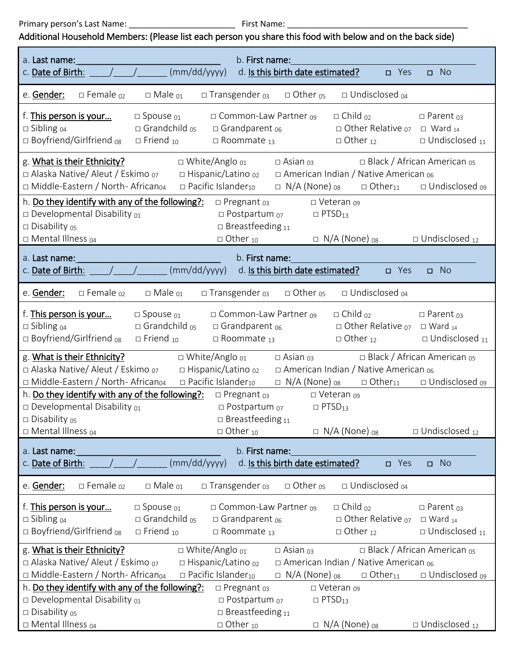Primary person's Last Name: \_\_\_\_\_\_\_\_\_\_\_\_\_\_\_\_\_\_\_\_\_\_\_ First Name: \_\_\_\_\_\_\_\_\_\_\_\_\_\_\_\_\_\_\_\_\_\_\_\_\_\_\_\_\_\_\_\_\_\_\_\_\_\_\_

## Additional Household Members: (Please list each person you share this food with below and on the back side)

| a. Last name:<br>b. First name:                                                                                                                                                                                                                                                                                                                                                                                                                           |  |  |  |  |  |
|-----------------------------------------------------------------------------------------------------------------------------------------------------------------------------------------------------------------------------------------------------------------------------------------------------------------------------------------------------------------------------------------------------------------------------------------------------------|--|--|--|--|--|
| (mm/dd/yyyy)<br>c. Date of Birth:<br>d. Is this birth date estimated?<br>$\Box$ No<br>□ Yes                                                                                                                                                                                                                                                                                                                                                               |  |  |  |  |  |
| $\square$ Transgender $_{03}$<br>$\Box$ Other <sub>05</sub><br>$\Box$ Undisclosed $_{04}$<br>e. Gender:<br>$\square$ Female $_{02}$<br>$\Box$ Male $_{01}$                                                                                                                                                                                                                                                                                                |  |  |  |  |  |
| f. This person is your<br>□ Common-Law Partner 09<br>$\Box$ Child $_{02}$<br>□ Spouse 01<br>$\square$ Parent 03<br>$\square$ Grandchild $_{05}$<br>$\Box$ Other Relative $_{07}$<br>$\Box$ Sibling $_{04}$<br>$\Box$ Grandparent $_{06}$<br>$\Box$ Ward $_{14}$<br>$\square$ Boyfriend/Girlfriend $_{08}$<br>$\Box$ Friend $_{10}$<br>$\Box$ Roommate 13<br>$\Box$ Other <sub>12</sub><br>$\square$ Undisclosed $_{11}$                                   |  |  |  |  |  |
| g. What is their Ethnicity?<br>$\Box$ White/Anglo $_{01}$<br>$\Box$ Black / African American $_{05}$<br>$\Box$ Asian $_{03}$<br>□ Alaska Native/ Aleut / Eskimo 07<br>□ Hispanic/Latino 02<br>□ American Indian / Native American 06<br>$\Box$ Middle-Eastern / North-African <sub>04</sub><br>$\Box$ Pacific Islander <sub>10</sub><br>$\Box$ N/A (None) $_{08}$<br>$\Box$ Other <sub>11</sub><br>□ Undisclosed <sub>09</sub>                            |  |  |  |  |  |
| h. Do they identify with any of the following?:<br>$\square$ Pregnant $03$<br>□ Veteran 09<br>$\square$ Developmental Disability $_{01}$<br>$\square$ Postpartum $_{07}$<br>$\Box$ PTSD <sub>13</sub><br>□ Disability os<br>$\square$ Breastfeeding 11<br>□ Mental Illness 04<br>$\Box$ Other 10<br>$\Box$ N/A (None) 08<br>$\Box$ Undisclosed 12                                                                                                         |  |  |  |  |  |
| a. Last name:<br>b. First name:                                                                                                                                                                                                                                                                                                                                                                                                                           |  |  |  |  |  |
| (mm/dd/yyyy)<br>d. Is this birth date estimated?<br>c. Date of Birth:<br>$\square$ No<br>$\Box$ Yes                                                                                                                                                                                                                                                                                                                                                       |  |  |  |  |  |
| $\square$ Transgender $_{03}$<br>$\Box$ Undisclosed $_{04}$<br>e. Gender:<br>$\square$ Female $_{02}$<br>$\Box$ Male $_{01}$<br>$\Box$ Other <sub>05</sub>                                                                                                                                                                                                                                                                                                |  |  |  |  |  |
| f. This person is your<br>$\square$ Common-Law Partner $_{09}$<br>$\Box$ Child $_{02}$<br>$\square$ Spouse $_{01}$<br>$\square$ Parent $_{03}$<br>$\square$ Grandchild $_{05}$<br>$\square$ Grandparent $_{06}$<br>$\Box$ Other Relative $_{07}$<br>$\square$ Sibling $_{04}$<br>$\Box$ Ward $_{14}$<br>$\square$ Boyfriend/Girlfriend $_{08}$<br>$\Box$ Undisclosed $_{11}$<br>$\Box$ Friend $_{10}$<br>$\Box$ Roommate 13<br>$\Box$ Other <sub>12</sub> |  |  |  |  |  |
| g. What is their Ethnicity?<br>$\Box$ White/Anglo $_{01}$<br>$\Box$ Black / African American $_{05}$<br>$\Box$ Asian $_{03}$<br>□ Hispanic/Latino 02<br>□ Alaska Native/ Aleut / Eskimo 07<br>□ American Indian / Native American 06<br>$\Box$ Middle-Eastern / North-African <sub>04</sub><br>$\Box$ Pacific Islander <sub>10</sub><br>$\Box$ N/A (None) $_{08}$<br>$\Box$ Other <sub>11</sub><br>$\Box$ Undisclosed $_{09}$                             |  |  |  |  |  |
| h. Do they identify with any of the following?:<br>$\square$ Pregnant $03$<br>□ Veteran 09<br>$\square$ Developmental Disability $_{01}$<br>$\square$ Postpartum $_{07}$<br>$\Box$ PTSD <sub>13</sub><br>$\square$ Disability $05$<br>$\square$ Breastfeeding 11<br>□ Mental Illness 04<br>$\Box$ Other 10<br>$\Box$ N/A (None) 08<br>$\Box$ Undisclosed 12                                                                                               |  |  |  |  |  |
|                                                                                                                                                                                                                                                                                                                                                                                                                                                           |  |  |  |  |  |
| b. First name:<br>a. Last name:<br>(mm/dd/yyyy)<br>d. Is this birth date estimated?<br>c. Date of Birth:<br>$\Box$ No<br>□ Yes                                                                                                                                                                                                                                                                                                                            |  |  |  |  |  |
| $\square$ Female $\omega$<br>$\square$ Male $_{01}$<br>□ Transgender 03<br>$\Box$ Other $_{05}$<br>$\Box$ Undisclosed $_{04}$<br>e. Gender:                                                                                                                                                                                                                                                                                                               |  |  |  |  |  |
| □ Common-Law Partner 09<br>$\Box$ Child $_{02}$<br>f. This person is your<br>□ Spouse 01<br>$\square$ Parent 03<br>$\square$ Grandchild $_{05}$<br>$\square$ Sibling $04$<br>$\Box$ Grandparent $_{06}$<br>$\Box$ Other Relative $_{07}$<br>$\Box$ Ward 14<br>□ Boyfriend/Girlfriend os<br>$\Box$ Friend $_{10}$<br>$\Box$ Roommate 13<br>$\Box$ Other 12<br>$\Box$ Undisclosed $_{11}$                                                                   |  |  |  |  |  |
| $\Box$ White/Anglo $_{01}$<br>$\Box$ Asian $_{03}$<br>$\Box$ Black / African American <sub>05</sub><br>g. What is their Ethnicity?                                                                                                                                                                                                                                                                                                                        |  |  |  |  |  |
| □ Alaska Native/ Aleut / Eskimo 07<br>□ Hispanic/Latino 02<br>$\Box$ American Indian / Native American 06                                                                                                                                                                                                                                                                                                                                                 |  |  |  |  |  |
| □ Middle-Eastern / North- African <sub>04</sub><br>□ Pacific Islander <sub>10</sub><br>$\Box$ N/A (None) $_{08}$<br>$\Box$ Other <sub>11</sub><br>□ Undisclosed o9<br>h. Do they identify with any of the following?:<br>$\square$ Pregnant $03$<br>□ Veteran 09                                                                                                                                                                                          |  |  |  |  |  |
| $\square$ Developmental Disability $_{01}$<br>D Postpartum 07<br>$\Box$ PTSD <sub>13</sub>                                                                                                                                                                                                                                                                                                                                                                |  |  |  |  |  |
| □ Disability os<br>$\square$ Breastfeeding 11                                                                                                                                                                                                                                                                                                                                                                                                             |  |  |  |  |  |
| □ Mental Illness 04<br>$\Box$ Other 10<br>$\Box$ N/A (None) 08<br>$\Box$ Undisclosed 12                                                                                                                                                                                                                                                                                                                                                                   |  |  |  |  |  |